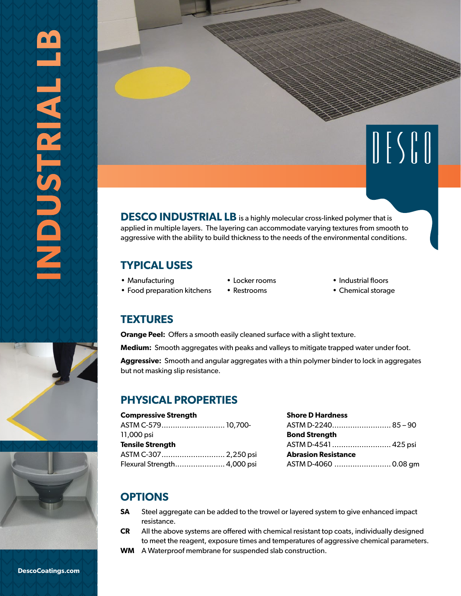

## **TYPICAL USES**

• Food preparation kitchens

- Manufacturing
- Locker rooms • Restrooms
- Industrial floors
- Chemical storage

## **TEXTURES**

**Orange Peel:** Offers a smooth easily cleaned surface with a slight texture.

**Medium:** Smooth aggregates with peaks and valleys to mitigate trapped water under foot.

**Aggressive:** Smooth and angular aggregates with a thin polymer binder to lock in aggregates but not masking slip resistance.

# **PHYSICAL PROPERTIES**

#### **Compressive Strength**

ASTM C-579............................ 10,700- 11,000 psi **Tensile Strength** ASTM C-307............................ 2,250 psi Flexural Strength...................... 4,000 psi

| <b>Shore D Hardness</b>    |  |
|----------------------------|--|
|                            |  |
| <b>Bond Strength</b>       |  |
|                            |  |
| <b>Abrasion Resistance</b> |  |
| ASTM D-4060 0.08 gm        |  |

## **OPTIONS**

- **SA** Steel aggregate can be added to the trowel or layered system to give enhanced impact resistance.
- **CR** All the above systems are offered with chemical resistant top coats, individually designed to meet the reagent, exposure times and temperatures of aggressive chemical parameters.
- **WM** A Waterproof membrane for suspended slab construction.